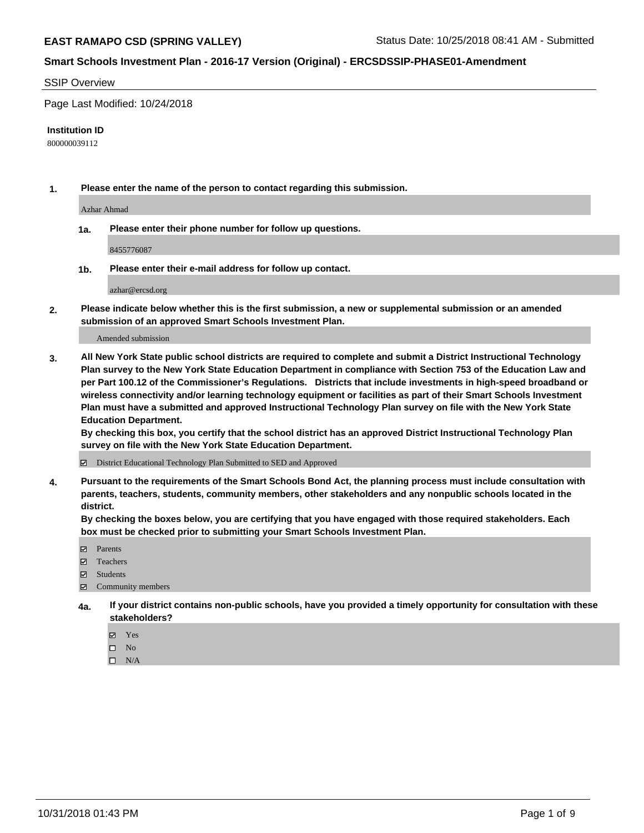#### SSIP Overview

Page Last Modified: 10/24/2018

#### **Institution ID**

800000039112

**1. Please enter the name of the person to contact regarding this submission.**

Azhar Ahmad

**1a. Please enter their phone number for follow up questions.**

8455776087

**1b. Please enter their e-mail address for follow up contact.**

azhar@ercsd.org

**2. Please indicate below whether this is the first submission, a new or supplemental submission or an amended submission of an approved Smart Schools Investment Plan.**

Amended submission

**3. All New York State public school districts are required to complete and submit a District Instructional Technology Plan survey to the New York State Education Department in compliance with Section 753 of the Education Law and per Part 100.12 of the Commissioner's Regulations. Districts that include investments in high-speed broadband or wireless connectivity and/or learning technology equipment or facilities as part of their Smart Schools Investment Plan must have a submitted and approved Instructional Technology Plan survey on file with the New York State Education Department.** 

**By checking this box, you certify that the school district has an approved District Instructional Technology Plan survey on file with the New York State Education Department.**

District Educational Technology Plan Submitted to SED and Approved

**4. Pursuant to the requirements of the Smart Schools Bond Act, the planning process must include consultation with parents, teachers, students, community members, other stakeholders and any nonpublic schools located in the district.** 

**By checking the boxes below, you are certifying that you have engaged with those required stakeholders. Each box must be checked prior to submitting your Smart Schools Investment Plan.**

- **□** Parents
- Teachers
- Students
- $\boxtimes$  Community members
- **4a. If your district contains non-public schools, have you provided a timely opportunity for consultation with these stakeholders?**
	- Yes
	- $\qquad \qquad$  No
	- $\square$  N/A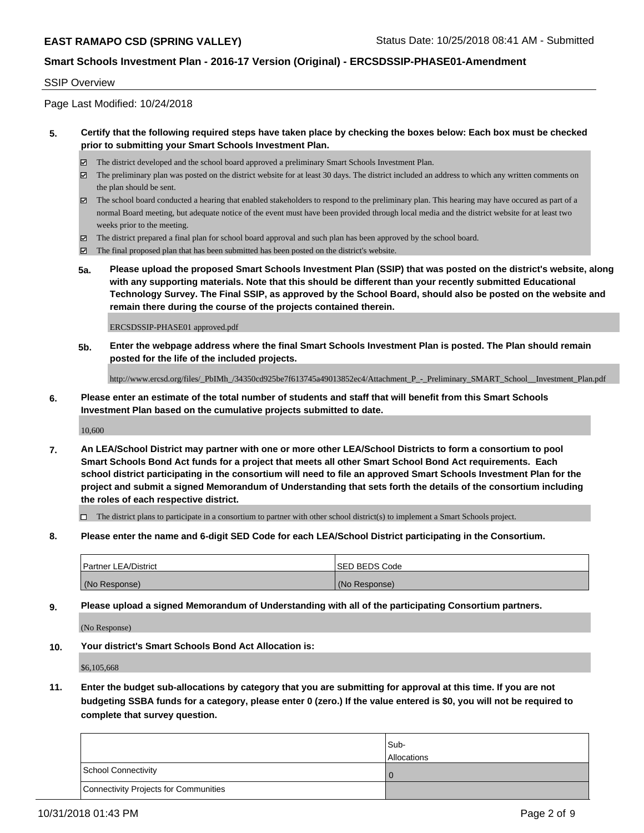#### SSIP Overview

Page Last Modified: 10/24/2018

### **5. Certify that the following required steps have taken place by checking the boxes below: Each box must be checked prior to submitting your Smart Schools Investment Plan.**

- The district developed and the school board approved a preliminary Smart Schools Investment Plan.
- $\boxtimes$  The preliminary plan was posted on the district website for at least 30 days. The district included an address to which any written comments on the plan should be sent.
- $\boxtimes$  The school board conducted a hearing that enabled stakeholders to respond to the preliminary plan. This hearing may have occured as part of a normal Board meeting, but adequate notice of the event must have been provided through local media and the district website for at least two weeks prior to the meeting.
- The district prepared a final plan for school board approval and such plan has been approved by the school board.
- $\boxtimes$  The final proposed plan that has been submitted has been posted on the district's website.
- **5a. Please upload the proposed Smart Schools Investment Plan (SSIP) that was posted on the district's website, along with any supporting materials. Note that this should be different than your recently submitted Educational Technology Survey. The Final SSIP, as approved by the School Board, should also be posted on the website and remain there during the course of the projects contained therein.**

ERCSDSSIP-PHASE01 approved.pdf

**5b. Enter the webpage address where the final Smart Schools Investment Plan is posted. The Plan should remain posted for the life of the included projects.**

http://www.ercsd.org/files/\_PbIMh\_/34350cd925be7f613745a49013852ec4/Attachment\_P\_-\_Preliminary\_SMART\_School\_\_Investment\_Plan.pdf

**6. Please enter an estimate of the total number of students and staff that will benefit from this Smart Schools Investment Plan based on the cumulative projects submitted to date.**

10,600

**7. An LEA/School District may partner with one or more other LEA/School Districts to form a consortium to pool Smart Schools Bond Act funds for a project that meets all other Smart School Bond Act requirements. Each school district participating in the consortium will need to file an approved Smart Schools Investment Plan for the project and submit a signed Memorandum of Understanding that sets forth the details of the consortium including the roles of each respective district.**

 $\Box$  The district plans to participate in a consortium to partner with other school district(s) to implement a Smart Schools project.

**8. Please enter the name and 6-digit SED Code for each LEA/School District participating in the Consortium.**

| <b>Partner LEA/District</b> | <b>ISED BEDS Code</b> |
|-----------------------------|-----------------------|
| (No Response)               | (No Response)         |

**9. Please upload a signed Memorandum of Understanding with all of the participating Consortium partners.**

(No Response)

**10. Your district's Smart Schools Bond Act Allocation is:**

\$6,105,668

**11. Enter the budget sub-allocations by category that you are submitting for approval at this time. If you are not budgeting SSBA funds for a category, please enter 0 (zero.) If the value entered is \$0, you will not be required to complete that survey question.**

|                                              | Sub-<br><b>Allocations</b> |
|----------------------------------------------|----------------------------|
| <b>School Connectivity</b>                   |                            |
| <b>Connectivity Projects for Communities</b> |                            |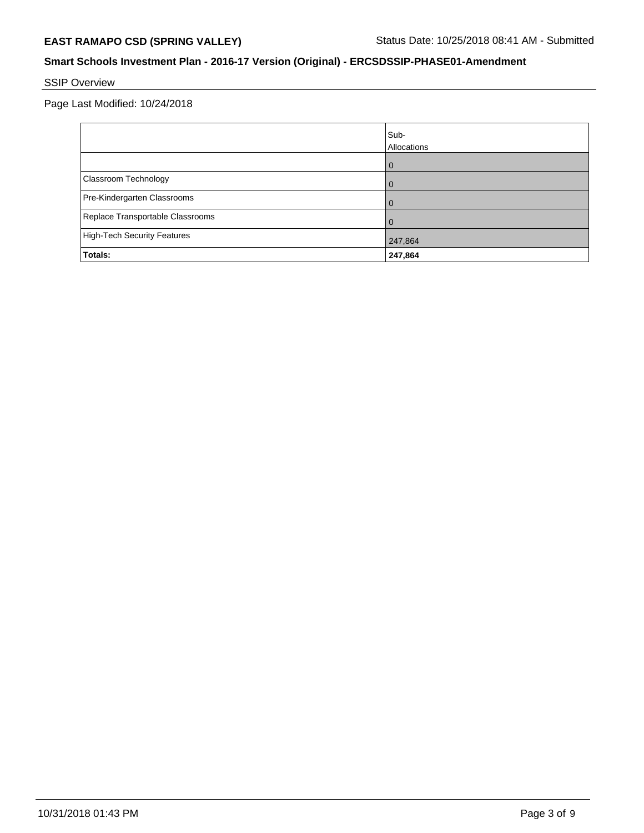# SSIP Overview

|                                    | Sub-<br>Allocations |
|------------------------------------|---------------------|
|                                    | $\mathbf{I}$        |
| Classroom Technology               |                     |
| Pre-Kindergarten Classrooms        |                     |
| Replace Transportable Classrooms   |                     |
| <b>High-Tech Security Features</b> | 247,864             |
| Totals:                            | 247,864             |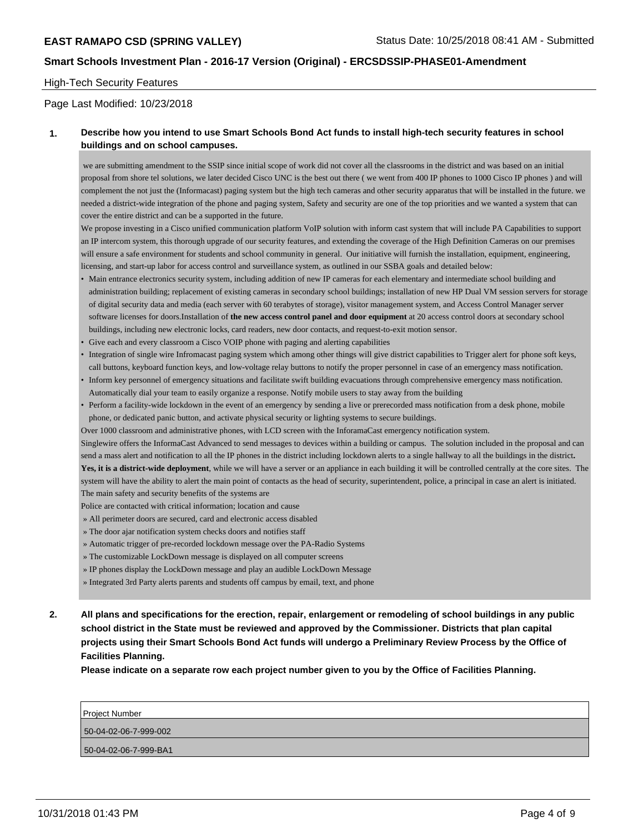#### High-Tech Security Features

Page Last Modified: 10/23/2018

### **1. Describe how you intend to use Smart Schools Bond Act funds to install high-tech security features in school buildings and on school campuses.**

 we are submitting amendment to the SSIP since initial scope of work did not cover all the classrooms in the district and was based on an initial proposal from shore tel solutions, we later decided Cisco UNC is the best out there ( we went from 400 IP phones to 1000 Cisco IP phones ) and will complement the not just the (Informacast) paging system but the high tech cameras and other security apparatus that will be installed in the future. we needed a district-wide integration of the phone and paging system, Safety and security are one of the top priorities and we wanted a system that can cover the entire district and can be a supported in the future.

We propose investing in a Cisco unified communication platform VoIP solution with inform cast system that will include PA Capabilities to support an IP intercom system, this thorough upgrade of our security features, and extending the coverage of the High Definition Cameras on our premises will ensure a safe environment for students and school community in general. Our initiative will furnish the installation, equipment, engineering, licensing, and start-up labor for access control and surveillance system, as outlined in our SSBA goals and detailed below:

- Main entrance electronics security system, including addition of new IP cameras for each elementary and intermediate school building and administration building; replacement of existing cameras in secondary school buildings; installation of new HP Dual VM session servers for storage of digital security data and media (each server with 60 terabytes of storage), visitor management system, and Access Control Manager server software licenses for doors.Installation of **the new access control panel and door equipment** at 20 access control doors at secondary school buildings, including new electronic locks, card readers, new door contacts, and request-to-exit motion sensor.
- Give each and every classroom a Cisco VOIP phone with paging and alerting capabilities
- Integration of single wire Infromacast paging system which among other things will give district capabilities to Trigger alert for phone soft keys, call buttons, keyboard function keys, and low-voltage relay buttons to notify the proper personnel in case of an emergency mass notification.
- Inform key personnel of emergency situations and facilitate swift building evacuations through comprehensive emergency mass notification. Automatically dial your team to easily organize a response. Notify mobile users to stay away from the building
- Perform a facility-wide lockdown in the event of an emergency by sending a live or prerecorded mass notification from a desk phone, mobile phone, or dedicated panic button, and activate physical security or lighting systems to secure buildings.
- Over 1000 classroom and administrative phones, with LCD screen with the InforamaCast emergency notification system.

Singlewire offers the InformaCast Advanced to send messages to devices within a building or campus. The solution included in the proposal and can send a mass alert and notification to all the IP phones in the district including lockdown alerts to a single hallway to all the buildings in the district**. Yes, it is a district-wide deployment**, while we will have a server or an appliance in each building it will be controlled centrally at the core sites. The system will have the ability to alert the main point of contacts as the head of security, superintendent, police, a principal in case an alert is initiated. The main safety and security benefits of the systems are

Police are contacted with critical information; location and cause

- » All perimeter doors are secured, card and electronic access disabled
- » The door ajar notification system checks doors and notifies staff
- » Automatic trigger of pre-recorded lockdown message over the PA-Radio Systems
- » The customizable LockDown message is displayed on all computer screens
- » IP phones display the LockDown message and play an audible LockDown Message
- » Integrated 3rd Party alerts parents and students off campus by email, text, and phone
- **2. All plans and specifications for the erection, repair, enlargement or remodeling of school buildings in any public school district in the State must be reviewed and approved by the Commissioner. Districts that plan capital projects using their Smart Schools Bond Act funds will undergo a Preliminary Review Process by the Office of Facilities Planning.**

**Please indicate on a separate row each project number given to you by the Office of Facilities Planning.**

| <b>Project Number</b> |
|-----------------------|
| 50-04-02-06-7-999-002 |
| 50-04-02-06-7-999-BA1 |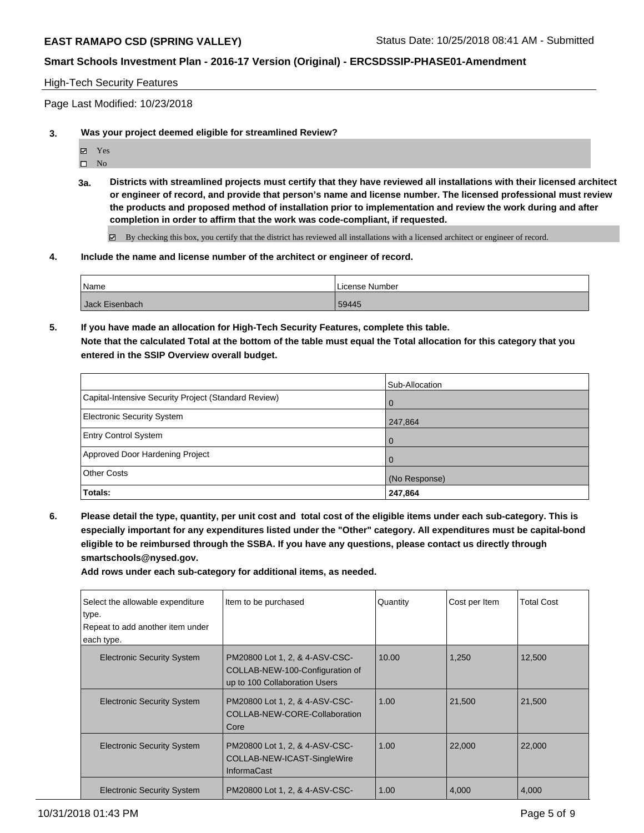### High-Tech Security Features

Page Last Modified: 10/23/2018

- **3. Was your project deemed eligible for streamlined Review?**
	- Yes
	- $\square$  No
	- **3a. Districts with streamlined projects must certify that they have reviewed all installations with their licensed architect or engineer of record, and provide that person's name and license number. The licensed professional must review the products and proposed method of installation prior to implementation and review the work during and after completion in order to affirm that the work was code-compliant, if requested.**

By checking this box, you certify that the district has reviewed all installations with a licensed architect or engineer of record.

### **4. Include the name and license number of the architect or engineer of record.**

| <b>Name</b>    | License Number |
|----------------|----------------|
| Jack Eisenbach | 59445          |

**5. If you have made an allocation for High-Tech Security Features, complete this table. Note that the calculated Total at the bottom of the table must equal the Total allocation for this category that you entered in the SSIP Overview overall budget.**

|                                                      | Sub-Allocation |
|------------------------------------------------------|----------------|
| Capital-Intensive Security Project (Standard Review) | $\overline{0}$ |
| <b>Electronic Security System</b>                    | 247,864        |
| <b>Entry Control System</b>                          | $\Omega$       |
| Approved Door Hardening Project                      | $\Omega$       |
| <b>Other Costs</b>                                   | (No Response)  |
| Totals:                                              | 247,864        |

**6. Please detail the type, quantity, per unit cost and total cost of the eligible items under each sub-category. This is especially important for any expenditures listed under the "Other" category. All expenditures must be capital-bond eligible to be reimbursed through the SSBA. If you have any questions, please contact us directly through smartschools@nysed.gov.**

**Add rows under each sub-category for additional items, as needed.**

| Select the allowable expenditure<br>type.<br>Repeat to add another item under<br>each type. | Item to be purchased                                                                               | Quantity | Cost per Item | <b>Total Cost</b> |
|---------------------------------------------------------------------------------------------|----------------------------------------------------------------------------------------------------|----------|---------------|-------------------|
| <b>Electronic Security System</b>                                                           | PM20800 Lot 1, 2, & 4-ASV-CSC-<br>COLLAB-NEW-100-Configuration of<br>up to 100 Collaboration Users | 10.00    | 1,250         | 12,500            |
| <b>Electronic Security System</b>                                                           | PM20800 Lot 1, 2, & 4-ASV-CSC-<br>COLLAB-NEW-CORE-Collaboration<br>Core                            | 1.00     | 21,500        | 21,500            |
| <b>Electronic Security System</b>                                                           | PM20800 Lot 1, 2, & 4-ASV-CSC-<br>COLLAB-NEW-ICAST-SingleWire<br><b>InformaCast</b>                | 1.00     | 22,000        | 22,000            |
| <b>Electronic Security System</b>                                                           | PM20800 Lot 1, 2, & 4-ASV-CSC-                                                                     | 1.00     | 4,000         | 4,000             |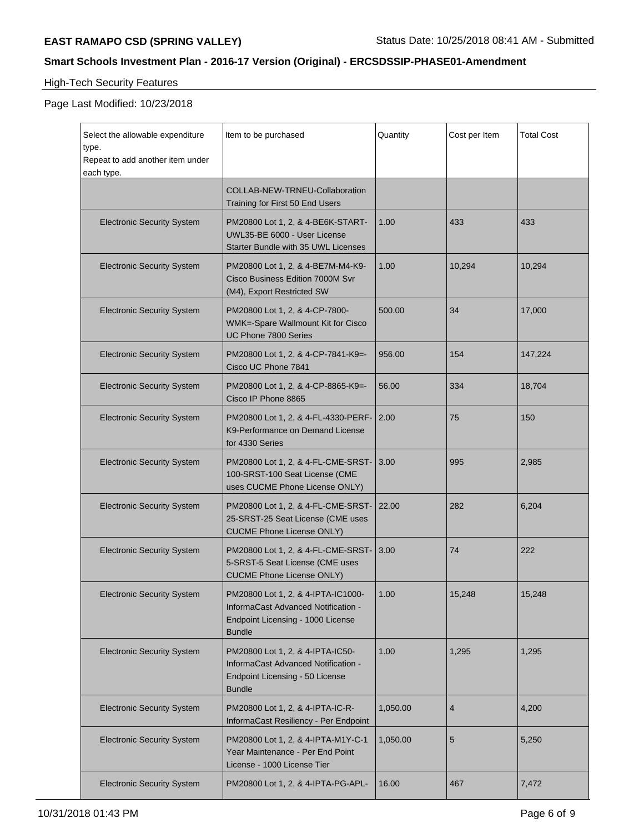# High-Tech Security Features

| Select the allowable expenditure<br>type.<br>Repeat to add another item under<br>each type. | Item to be purchased                                                                                                            | Quantity | Cost per Item  | <b>Total Cost</b> |
|---------------------------------------------------------------------------------------------|---------------------------------------------------------------------------------------------------------------------------------|----------|----------------|-------------------|
|                                                                                             | COLLAB-NEW-TRNEU-Collaboration<br>Training for First 50 End Users                                                               |          |                |                   |
| <b>Electronic Security System</b>                                                           | PM20800 Lot 1, 2, & 4-BE6K-START-<br>UWL35-BE 6000 - User License<br>Starter Bundle with 35 UWL Licenses                        | 1.00     | 433            | 433               |
| <b>Electronic Security System</b>                                                           | PM20800 Lot 1, 2, & 4-BE7M-M4-K9-<br>Cisco Business Edition 7000M Svr<br>(M4), Export Restricted SW                             | 1.00     | 10,294         | 10,294            |
| <b>Electronic Security System</b>                                                           | PM20800 Lot 1, 2, & 4-CP-7800-<br>WMK=-Spare Wallmount Kit for Cisco<br>UC Phone 7800 Series                                    | 500.00   | 34             | 17,000            |
| <b>Electronic Security System</b>                                                           | PM20800 Lot 1, 2, & 4-CP-7841-K9=-<br>Cisco UC Phone 7841                                                                       | 956.00   | 154            | 147,224           |
| <b>Electronic Security System</b>                                                           | PM20800 Lot 1, 2, & 4-CP-8865-K9=-<br>Cisco IP Phone 8865                                                                       | 56.00    | 334            | 18,704            |
| <b>Electronic Security System</b>                                                           | PM20800 Lot 1, 2, & 4-FL-4330-PERF-<br>K9-Performance on Demand License<br>for 4330 Series                                      | 2.00     | 75             | 150               |
| <b>Electronic Security System</b>                                                           | PM20800 Lot 1, 2, & 4-FL-CME-SRST-<br>100-SRST-100 Seat License (CME<br>uses CUCME Phone License ONLY)                          | 3.00     | 995            | 2,985             |
| <b>Electronic Security System</b>                                                           | PM20800 Lot 1, 2, & 4-FL-CME-SRST-<br>25-SRST-25 Seat License (CME uses<br><b>CUCME Phone License ONLY)</b>                     | 22.00    | 282            | 6,204             |
| <b>Electronic Security System</b>                                                           | PM20800 Lot 1, 2, & 4-FL-CME-SRST-<br>5-SRST-5 Seat License (CME uses<br><b>CUCME Phone License ONLY)</b>                       | 3.00     | 74             | 222               |
| <b>Electronic Security System</b>                                                           | PM20800 Lot 1, 2, & 4-IPTA-IC1000-<br>InformaCast Advanced Notification -<br>Endpoint Licensing - 1000 License<br><b>Bundle</b> | 1.00     | 15,248         | 15,248            |
| <b>Electronic Security System</b>                                                           | PM20800 Lot 1, 2, & 4-IPTA-IC50-<br>InformaCast Advanced Notification -<br>Endpoint Licensing - 50 License<br><b>Bundle</b>     | 1.00     | 1,295          | 1,295             |
| <b>Electronic Security System</b>                                                           | PM20800 Lot 1, 2, & 4-IPTA-IC-R-<br>InformaCast Resiliency - Per Endpoint                                                       | 1,050.00 | $\overline{4}$ | 4,200             |
| <b>Electronic Security System</b>                                                           | PM20800 Lot 1, 2, & 4-IPTA-M1Y-C-1<br>Year Maintenance - Per End Point<br>License - 1000 License Tier                           | 1,050.00 | 5              | 5,250             |
| <b>Electronic Security System</b>                                                           | PM20800 Lot 1, 2, & 4-IPTA-PG-APL-                                                                                              | 16.00    | 467            | 7,472             |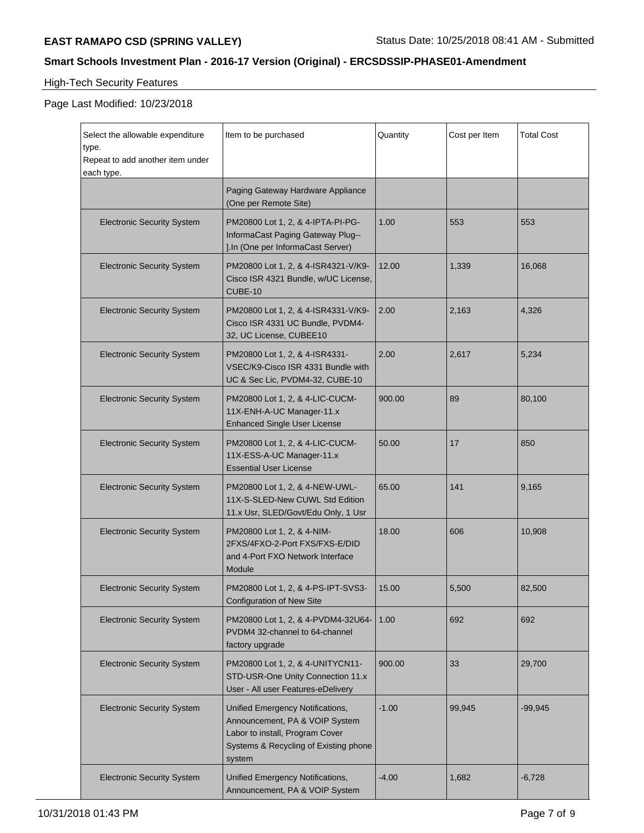# High-Tech Security Features

| Select the allowable expenditure<br>type.<br>Repeat to add another item under<br>each type. | Item to be purchased                                                                                                                                     | Quantity | Cost per Item | <b>Total Cost</b> |
|---------------------------------------------------------------------------------------------|----------------------------------------------------------------------------------------------------------------------------------------------------------|----------|---------------|-------------------|
|                                                                                             | Paging Gateway Hardware Appliance<br>(One per Remote Site)                                                                                               |          |               |                   |
| <b>Electronic Security System</b>                                                           | PM20800 Lot 1, 2, & 4-IPTA-PI-PG-<br>InformaCast Paging Gateway Plug--<br>J.In (One per InformaCast Server)                                              | 1.00     | 553           | 553               |
| <b>Electronic Security System</b>                                                           | PM20800 Lot 1, 2, & 4-ISR4321-V/K9-<br>Cisco ISR 4321 Bundle, w/UC License,<br>CUBE-10                                                                   | 12.00    | 1,339         | 16,068            |
| <b>Electronic Security System</b>                                                           | PM20800 Lot 1, 2, & 4-ISR4331-V/K9-<br>Cisco ISR 4331 UC Bundle, PVDM4-<br>32, UC License, CUBEE10                                                       | 2.00     | 2,163         | 4,326             |
| <b>Electronic Security System</b>                                                           | PM20800 Lot 1, 2, & 4-ISR4331-<br>VSEC/K9-Cisco ISR 4331 Bundle with<br>UC & Sec Lic, PVDM4-32, CUBE-10                                                  | 2.00     | 2,617         | 5,234             |
| <b>Electronic Security System</b>                                                           | PM20800 Lot 1, 2, & 4-LIC-CUCM-<br>11X-ENH-A-UC Manager-11.x<br><b>Enhanced Single User License</b>                                                      | 900.00   | 89            | 80,100            |
| <b>Electronic Security System</b>                                                           | PM20800 Lot 1, 2, & 4-LIC-CUCM-<br>11X-ESS-A-UC Manager-11.x<br><b>Essential User License</b>                                                            | 50.00    | 17            | 850               |
| <b>Electronic Security System</b>                                                           | PM20800 Lot 1, 2, & 4-NEW-UWL-<br>11X-S-SLED-New CUWL Std Edition<br>11.x Usr, SLED/Govt/Edu Only, 1 Usr                                                 | 65.00    | 141           | 9,165             |
| <b>Electronic Security System</b>                                                           | PM20800 Lot 1, 2, & 4-NIM-<br>2FXS/4FXO-2-Port FXS/FXS-E/DID<br>and 4-Port FXO Network Interface<br>Module                                               | 18.00    | 606           | 10,908            |
| <b>Electronic Security System</b>                                                           | PM20800 Lot 1, 2, & 4-PS-IPT-SVS3-<br><b>Configuration of New Site</b>                                                                                   | 15.00    | 5,500         | 82,500            |
| <b>Electronic Security System</b>                                                           | PM20800 Lot 1, 2, & 4-PVDM4-32U64-<br>PVDM4 32-channel to 64-channel<br>factory upgrade                                                                  | 1.00     | 692           | 692               |
| <b>Electronic Security System</b>                                                           | PM20800 Lot 1, 2, & 4-UNITYCN11-<br>STD-USR-One Unity Connection 11.x<br>User - All user Features-eDelivery                                              | 900.00   | 33            | 29,700            |
| <b>Electronic Security System</b>                                                           | Unified Emergency Notifications,<br>Announcement, PA & VOIP System<br>Labor to install, Program Cover<br>Systems & Recycling of Existing phone<br>system | $-1.00$  | 99,945        | $-99,945$         |
| <b>Electronic Security System</b>                                                           | Unified Emergency Notifications,<br>Announcement, PA & VOIP System                                                                                       | $-4.00$  | 1,682         | $-6,728$          |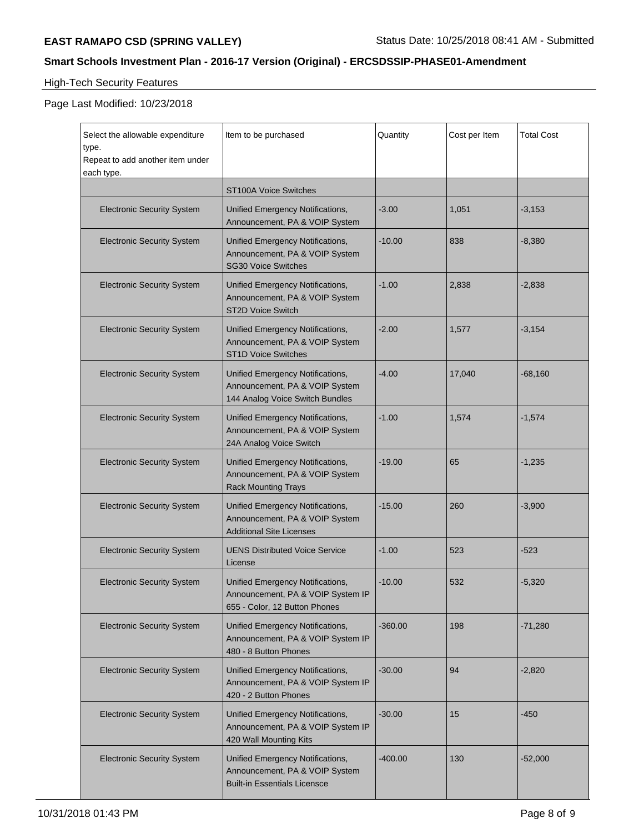# High-Tech Security Features

| Select the allowable expenditure<br>type.<br>Repeat to add another item under | Item to be purchased                                                                                      | Quantity  | Cost per Item | <b>Total Cost</b> |
|-------------------------------------------------------------------------------|-----------------------------------------------------------------------------------------------------------|-----------|---------------|-------------------|
| each type.                                                                    | ST100A Voice Switches                                                                                     |           |               |                   |
| <b>Electronic Security System</b>                                             | Unified Emergency Notifications,<br>Announcement, PA & VOIP System                                        | $-3.00$   | 1,051         | $-3,153$          |
| <b>Electronic Security System</b>                                             | Unified Emergency Notifications,<br>Announcement, PA & VOIP System<br><b>SG30 Voice Switches</b>          | $-10.00$  | 838           | $-8,380$          |
| <b>Electronic Security System</b>                                             | Unified Emergency Notifications,<br>Announcement, PA & VOIP System<br><b>ST2D Voice Switch</b>            | $-1.00$   | 2,838         | $-2,838$          |
| <b>Electronic Security System</b>                                             | Unified Emergency Notifications,<br>Announcement, PA & VOIP System<br><b>ST1D Voice Switches</b>          | $-2.00$   | 1,577         | $-3,154$          |
| <b>Electronic Security System</b>                                             | Unified Emergency Notifications,<br>Announcement, PA & VOIP System<br>144 Analog Voice Switch Bundles     | $-4.00$   | 17,040        | $-68,160$         |
| <b>Electronic Security System</b>                                             | Unified Emergency Notifications,<br>Announcement, PA & VOIP System<br>24A Analog Voice Switch             | $-1.00$   | 1,574         | $-1,574$          |
| <b>Electronic Security System</b>                                             | Unified Emergency Notifications,<br>Announcement, PA & VOIP System<br><b>Rack Mounting Trays</b>          | $-19.00$  | 65            | $-1,235$          |
| <b>Electronic Security System</b>                                             | Unified Emergency Notifications,<br>Announcement, PA & VOIP System<br><b>Additional Site Licenses</b>     | $-15.00$  | 260           | $-3,900$          |
| <b>Electronic Security System</b>                                             | <b>UENS Distributed Voice Service</b><br>License                                                          | $-1.00$   | 523           | $-523$            |
| <b>Electronic Security System</b>                                             | Unified Emergency Notifications,<br>Announcement, PA & VOIP System IP<br>655 - Color, 12 Button Phones    | $-10.00$  | 532           | $-5,320$          |
| <b>Electronic Security System</b>                                             | Unified Emergency Notifications,<br>Announcement, PA & VOIP System IP<br>480 - 8 Button Phones            | $-360.00$ | 198           | $-71,280$         |
| <b>Electronic Security System</b>                                             | Unified Emergency Notifications,<br>Announcement, PA & VOIP System IP<br>420 - 2 Button Phones            | $-30.00$  | 94            | $-2,820$          |
| <b>Electronic Security System</b>                                             | Unified Emergency Notifications,<br>Announcement, PA & VOIP System IP<br>420 Wall Mounting Kits           | $-30.00$  | 15            | $-450$            |
| <b>Electronic Security System</b>                                             | Unified Emergency Notifications,<br>Announcement, PA & VOIP System<br><b>Built-in Essentials Licensce</b> | $-400.00$ | 130           | $-52,000$         |